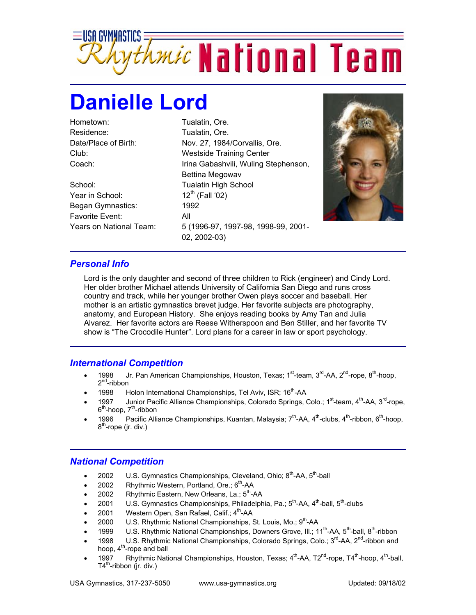

## **Danielle Lord**

Hometown: Tualatin, Ore. Residence: Tualatin, Ore.

School: Tualatin High School Year in School:  $12<sup>th</sup>$  (Fall '02) Began Gymnastics: 1992 Favorite Event: All

Date/Place of Birth: Nov. 27, 1984/Corvallis, Ore. Club: Westside Training Center Coach: Irina Gabashvili, Wuling Stephenson, Bettina Megowav Years on National Team: 5 (1996-97, 1997-98, 1998-99, 2001- 02, 2002-03)



## *Personal Info*

Lord is the only daughter and second of three children to Rick (engineer) and Cindy Lord. Her older brother Michael attends University of California San Diego and runs cross country and track, while her younger brother Owen plays soccer and baseball. Her mother is an artistic gymnastics brevet judge. Her favorite subjects are photography, anatomy, and European History. She enjoys reading books by Amy Tan and Julia Alvarez. Her favorite actors are Reese Witherspoon and Ben Stiller, and her favorite TV show is "The Crocodile Hunter". Lord plans for a career in law or sport psychology.

## *International Competition*

- 1998 Jr. Pan American Championships, Houston, Texas; 1<sup>st</sup>-team, 3<sup>rd</sup>-AA, 2<sup>nd</sup>-rope, 8<sup>th</sup>-hoop, 2<sup>nd</sup>-ribbon
- 1998 Holon International Championships, Tel Aviv, ISR;  $16^{th}$ -AA
- 1997 Junior Pacific Alliance Championships, Colorado Springs, Colo.; 1<sup>st</sup>-team, 4<sup>th</sup>-AA, 3<sup>rd</sup>-rope,  $6<sup>th</sup>$ -hoop,  $7<sup>th</sup>$ -ribbon
- 1996 Pacific Alliance Championships, Kuantan, Malaysia; 7<sup>th</sup>-AA, 4<sup>th</sup>-clubs, 4<sup>th</sup>-ribbon, 6<sup>th</sup>-hoop,  $8<sup>th</sup>$ -rope (jr. div.)

## *National Competition*

- 2002 U.S. Gymnastics Championships, Cleveland, Ohio; 8<sup>th</sup>-AA, 5<sup>th</sup>-ball
- 2002 Rhythmic Western, Portland, Ore.;  $6<sup>th</sup>$ -AA
- 2002 Rhythmic Eastern, New Orleans, La.;  $5<sup>th</sup>$ -AA
- 2001 U.S. Gymnastics Championships, Philadelphia, Pa.;  $5^{th}$ -AA,  $4^{th}$ -ball,  $5^{th}$ -clubs
- 2001 Western Open, San Rafael, Calif.; 4<sup>th</sup>-AA
- 2000 U.S. Rhythmic National Championships, St. Louis, Mo.;  $9<sup>th</sup>$ -AA
- 1999 U.S. Rhythmic National Championships, Downers Grove, Ill.; 11<sup>th</sup>-AA, 5<sup>th</sup>-ball, 8<sup>th</sup>-ribbon
- 1998 U.S. Rhythmic National Championships, Colorado Springs, Colo.;  $3^{rd}$ -AA,  $2^{nd}$ -ribbon and hoop,  $4<sup>m</sup>$ -rope and ball
- 1997 Rhythmic National Championships, Houston, Texas; 4<sup>th</sup>-AA, T2<sup>nd</sup>-rope, T4<sup>th</sup>-hoop, 4<sup>th</sup>-ball,  $T4^{th}$ -ribbon (jr. div.)